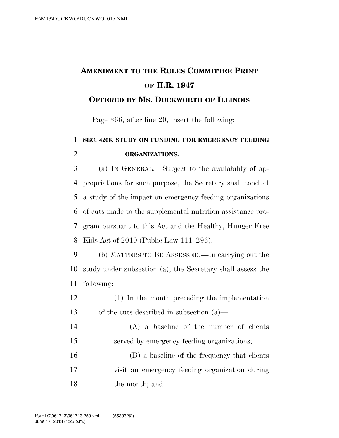## **AMENDMENT TO THE RULES COMMITTEE PRINT OF H.R. 1947**

## **OFFERED BY MS. DUCKWORTH OF ILLINOIS**

Page 366, after line 20, insert the following:

## **SEC. 4208. STUDY ON FUNDING FOR EMERGENCY FEEDING ORGANIZATIONS.**

 (a) IN GENERAL.—Subject to the availability of ap- propriations for such purpose, the Secretary shall conduct a study of the impact on emergency feeding organizations of cuts made to the supplemental nutrition assistance pro- gram pursuant to this Act and the Healthy, Hunger Free Kids Act of 2010 (Public Law 111–296).

 (b) MATTERS TO BE ASSESSED.—In carrying out the study under subsection (a), the Secretary shall assess the following:

- (1) In the month preceding the implementation of the cuts described in subsection (a)—
- (A) a baseline of the number of clients served by emergency feeding organizations;

 (B) a baseline of the frequency that clients visit an emergency feeding organization during the month; and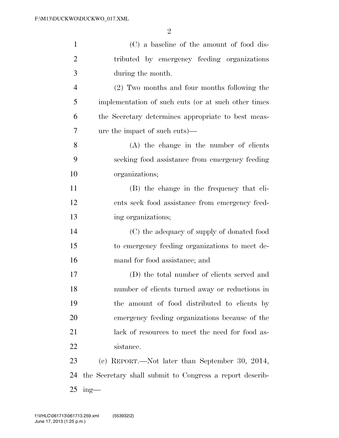| $\mathbf{1}$   | (C) a baseline of the amount of food dis-                |
|----------------|----------------------------------------------------------|
| $\overline{2}$ | tributed by emergency feeding organizations              |
| 3              | during the month.                                        |
| $\overline{4}$ | (2) Two months and four months following the             |
| 5              | implementation of such cuts (or at such other times)     |
| 6              | the Secretary determines appropriate to best meas-       |
| 7              | ure the impact of such cuts)—                            |
| 8              | $(A)$ the change in the number of clients                |
| 9              | seeking food assistance from emergency feeding           |
| 10             | organizations;                                           |
| 11             | (B) the change in the frequency that cli-                |
| 12             | ents seek food assistance from emergency feed-           |
| 13             | ing organizations;                                       |
| 14             | (C) the adequacy of supply of donated food               |
| 15             | to emergency feeding organizations to meet de-           |
| 16             | mand for food assistance; and                            |
| 17             | (D) the total number of clients served and               |
| 18             | number of clients turned away or reductions in           |
| 19             | the amount of food distributed to clients by             |
| 20             | emergency feeding organizations because of the           |
| 21             | lack of resources to meet the need for food as-          |
| 22             | sistance.                                                |
| 23             | (c) REPORT.—Not later than September 30, 2014,           |
| 24             | the Secretary shall submit to Congress a report describ- |
| 25             | $ing$ —                                                  |